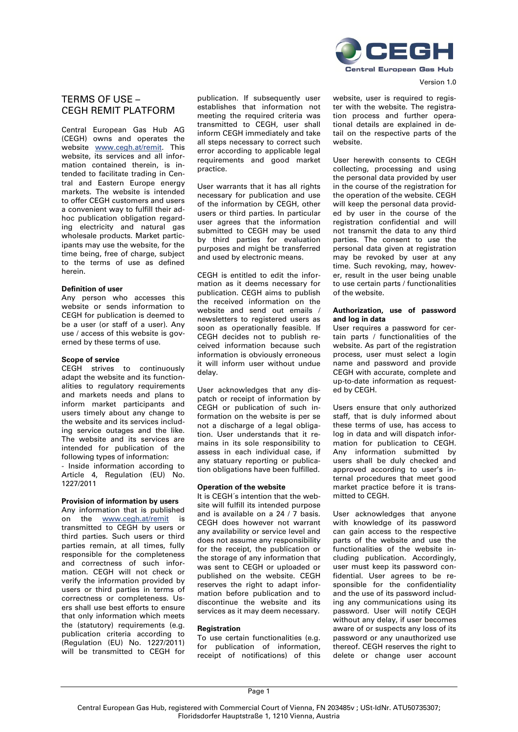

# TERMS OF USE – CEGH REMIT PLATFORM

Central European Gas Hub AG (CEGH) owns and operates the website www.cegh.at/remit. This website, its services and all information contained therein, is intended to facilitate trading in Central and Eastern Europe energy markets. The website is intended to offer CEGH customers and users a convenient way to fulfill their adhoc publication obligation regarding electricity and natural gas wholesale products. Market participants may use the website, for the time being, free of charge, subject to the terms of use as defined herein.

# **Definition of user**

Any person who accesses this website or sends information to CEGH for publication is deemed to be a user (or staff of a user). Any use / access of this website is governed by these terms of use.

#### **Scope of service**

CEGH strives to continuously adapt the website and its functionalities to regulatory requirements and markets needs and plans to inform market participants and users timely about any change to the website and its services including service outages and the like. The website and its services are intended for publication of the following types of information:

- Inside information according to Article 4, Regulation (EU) No. 1227/2011

## **Provision of information by users**

Any information that is published on the www.cegh.at/remit is transmitted to CEGH by users or third parties. Such users or third parties remain, at all times, fully responsible for the completeness and correctness of such information. CEGH will not check or verify the information provided by users or third parties in terms of correctness or completeness. Users shall use best efforts to ensure that only information which meets the (statutory) requirements (e.g. publication criteria according to (Regulation (EU) No. 1227/2011) will be transmitted to CEGH for publication. If subsequently user establishes that information not meeting the required criteria was transmitted to CEGH, user shall inform CEGH immediately and take all steps necessary to correct such error according to applicable legal requirements and good market practice.

User warrants that it has all rights necessary for publication and use of the information by CEGH, other users or third parties. In particular user agrees that the information submitted to CEGH may be used by third parties for evaluation purposes and might be transferred and used by electronic means.

CEGH is entitled to edit the information as it deems necessary for publication. CEGH aims to publish the received information on the website and send out emails / newsletters to registered users as soon as operationally feasible. If CEGH decides not to publish received information because such information is obviously erroneous it will inform user without undue delay.

User acknowledges that any dispatch or receipt of information by CEGH or publication of such information on the website is per se not a discharge of a legal obligation. User understands that it remains in its sole responsibility to assess in each individual case, if any statuary reporting or publication obligations have been fulfilled.

#### **Operation of the website**

It is CEGH´s intention that the website will fulfill its intended purpose and is available on a 24 / 7 basis. CEGH does however not warrant any availability or service level and does not assume any responsibility for the receipt, the publication or the storage of any information that was sent to CEGH or uploaded or published on the website. CEGH reserves the right to adapt information before publication and to discontinue the website and its services as it may deem necessary.

#### **Registration**

To use certain functionalities (e.g. for publication of information, receipt of notifications) of this website, user is required to register with the website. The registration process and further operational details are explained in detail on the respective parts of the website.

User herewith consents to CEGH collecting, processing and using the personal data provided by user in the course of the registration for the operation of the website. CEGH will keep the personal data provided by user in the course of the registration confidential and will not transmit the data to any third parties. The consent to use the personal data given at registration may be revoked by user at any time. Such revoking, may, however, result in the user being unable to use certain parts / functionalities of the website.

## **Authorization, use of password and log in data**

User requires a password for certain parts / functionalities of the website. As part of the registration process, user must select a login name and password and provide CEGH with accurate, complete and up-to-date information as requested by CEGH.

Users ensure that only authorized staff, that is duly informed about these terms of use, has access to log in data and will dispatch information for publication to CEGH. Any information submitted by users shall be duly checked and approved according to user's internal procedures that meet good market practice before it is transmitted to CEGH.

User acknowledges that anyone with knowledge of its password can gain access to the respective parts of the website and use the functionalities of the website including publication. Accordingly, user must keep its password confidential. User agrees to be responsible for the confidentiality and the use of its password including any communications using its password. User will notify CEGH without any delay, if user becomes aware of or suspects any loss of its password or any unauthorized use thereof. CEGH reserves the right to delete or change user account